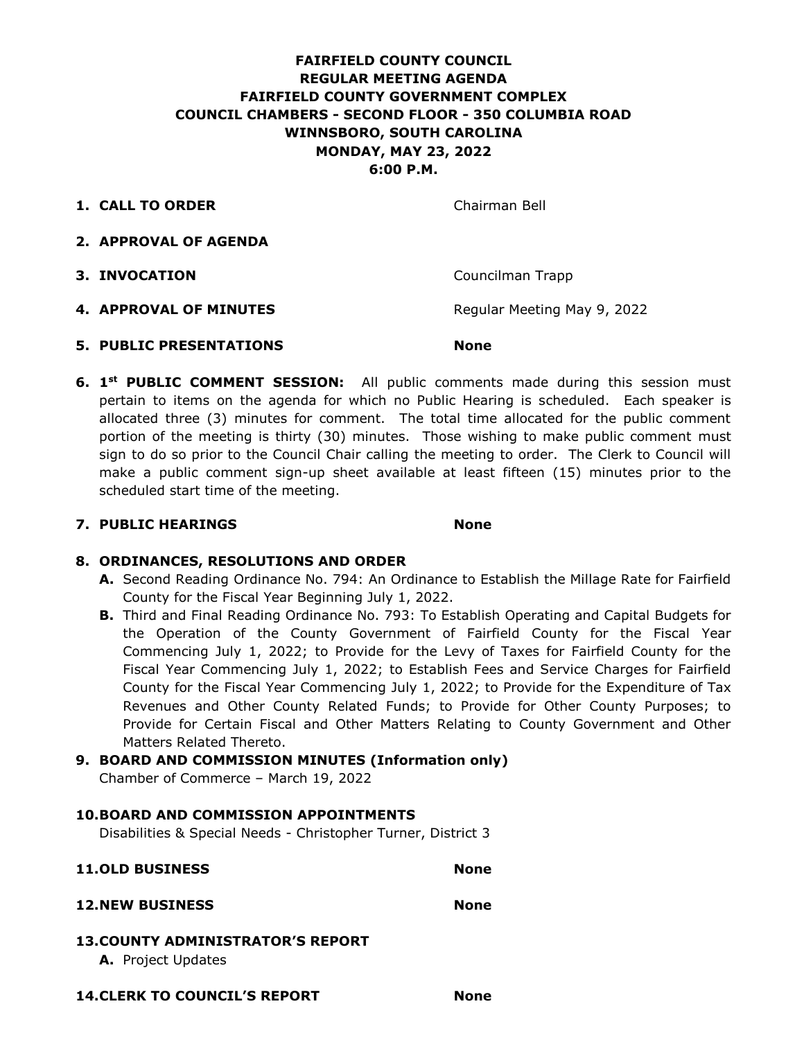## **FAIRFIELD COUNTY COUNCIL REGULAR MEETING AGENDA FAIRFIELD COUNTY GOVERNMENT COMPLEX COUNCIL CHAMBERS - SECOND FLOOR - 350 COLUMBIA ROAD WINNSBORO, SOUTH CAROLINA MONDAY, MAY 23, 2022 6:00 P.M.**

**1. CALL TO ORDER** Chairman Bell

- **2. APPROVAL OF AGENDA**
- **3. INVOCATION Councilman Trapp**
- **4. APPROVAL OF MINUTES** Regular Meeting May 9, 2022
- **5. PUBLIC PRESENTATIONS None**
- **6. 1st PUBLIC COMMENT SESSION:** All public comments made during this session must pertain to items on the agenda for which no Public Hearing is scheduled. Each speaker is allocated three (3) minutes for comment. The total time allocated for the public comment portion of the meeting is thirty (30) minutes. Those wishing to make public comment must sign to do so prior to the Council Chair calling the meeting to order. The Clerk to Council will make a public comment sign-up sheet available at least fifteen (15) minutes prior to the scheduled start time of the meeting.

#### **7. PUBLIC HEARINGS None**

#### **8. ORDINANCES, RESOLUTIONS AND ORDER**

- **A.** Second Reading Ordinance No. 794: An Ordinance to Establish the Millage Rate for Fairfield County for the Fiscal Year Beginning July 1, 2022.
- **B.** Third and Final Reading Ordinance No. 793: To Establish Operating and Capital Budgets for the Operation of the County Government of Fairfield County for the Fiscal Year Commencing July 1, 2022; to Provide for the Levy of Taxes for Fairfield County for the Fiscal Year Commencing July 1, 2022; to Establish Fees and Service Charges for Fairfield County for the Fiscal Year Commencing July 1, 2022; to Provide for the Expenditure of Tax Revenues and Other County Related Funds; to Provide for Other County Purposes; to Provide for Certain Fiscal and Other Matters Relating to County Government and Other Matters Related Thereto.

# **9. BOARD AND COMMISSION MINUTES (Information only)**

Chamber of Commerce – March 19, 2022

#### **10.BOARD AND COMMISSION APPOINTMENTS**

Disabilities & Special Needs - Christopher Turner, District 3

# **11.OLD BUSINESS None**

### **12.NEW BUSINESS None**

#### **13.COUNTY ADMINISTRATOR'S REPORT**

**A.** Project Updates

**14.CLERK TO COUNCIL'S REPORT None**